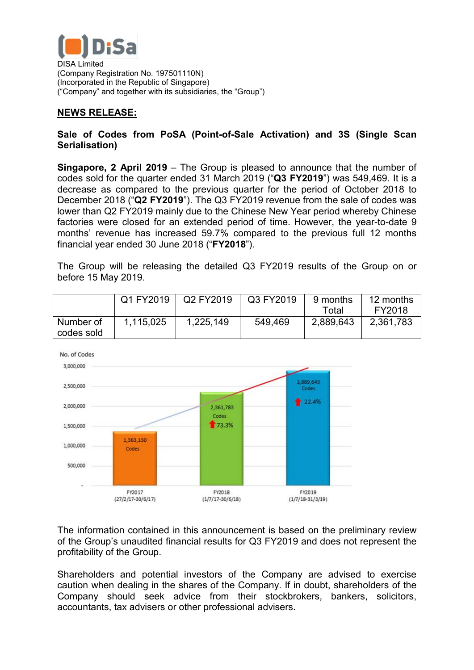

DISA Limited (Company Registration No. 197501110N) (Incorporated in the Republic of Singapore) ("Company" and together with its subsidiaries, the "Group")

## **NEWS RELEASE:**

## **Sale of Codes from PoSA (Point-of-Sale Activation) and 3S (Single Scan Serialisation)**

**Singapore, 2 April 2019** – The Group is pleased to announce that the number of codes sold for the quarter ended 31 March 2019 ("**Q3 FY2019**") was 549,469. It is a decrease as compared to the previous quarter for the period of October 2018 to December 2018 ("**Q2 FY2019**"). The Q3 FY2019 revenue from the sale of codes was lower than Q2 FY2019 mainly due to the Chinese New Year period whereby Chinese factories were closed for an extended period of time. However, the year-to-date 9 months' revenue has increased 59.7% compared to the previous full 12 months financial year ended 30 June 2018 ("**FY2018**").

The Group will be releasing the detailed Q3 FY2019 results of the Group on or before 15 May 2019.

|                         | Q1 FY2019 | Q2 FY2019 | Q3 FY2019 | 9 months  | 12 months |
|-------------------------|-----------|-----------|-----------|-----------|-----------|
|                         |           |           |           | Totai     | FY2018    |
| Number of<br>codes sold | 1,115,025 | 1,225,149 | 549,469   | 2,889,643 | 2,361,783 |



The information contained in this announcement is based on the preliminary review of the Group's unaudited financial results for Q3 FY2019 and does not represent the profitability of the Group.

Shareholders and potential investors of the Company are advised to exercise caution when dealing in the shares of the Company. If in doubt, shareholders of the Company should seek advice from their stockbrokers, bankers, solicitors, accountants, tax advisers or other professional advisers.